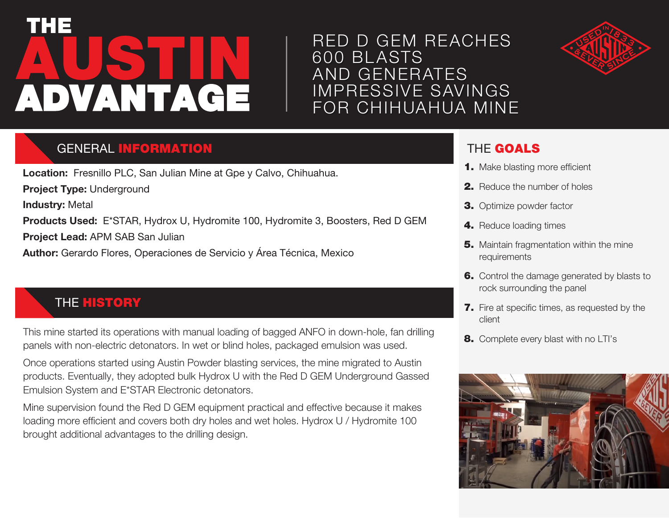# **AUSTIN** THE ADVANTAGE

# RED D GEM REACHES 600 BL ASTS AND GENERATES IMPRESSIVE SAVINGS FOR CHIHUAHUA MINE



## **GENERAL INFORMATION**

**Location:** Fresnillo PLC, San Julian Mine at Gpe y Calvo, Chihuahua. **Project Type:** Underground **Industry:** Metal **Products Used:** E\*STAR, Hydrox U, Hydromite 100, Hydromite 3, Boosters, Red D GEM **Project Lead:** APM SAB San Julian **Author:** Gerardo Flores, Operaciones de Servicio y Área Técnica, Mexico

## **THE HISTORY**

This mine started its operations with manual loading of bagged ANFO in down-hole, fan drilling panels with non-electric detonators. In wet or blind holes, packaged emulsion was used.

Once operations started using Austin Powder blasting services, the mine migrated to Austin products. Eventually, they adopted bulk Hydrox U with the Red D GEM Underground Gassed Emulsion System and E\*STAR Electronic detonators.

Mine supervision found the Red D GEM equipment practical and effective because it makes loading more efficient and covers both dry holes and wet holes. Hydrox U / Hydromite 100 brought additional advantages to the drilling design.

#### THE GOALS

- **1.** Make blasting more efficient
- 2. Reduce the number of holes
- **3.** Optimize powder factor
- 4. Reduce loading times
- **5.** Maintain fragmentation within the mine requirements
- **6.** Control the damage generated by blasts to rock surrounding the panel
- 7. Fire at specific times, as requested by the client
- 8. Complete every blast with no LTI's